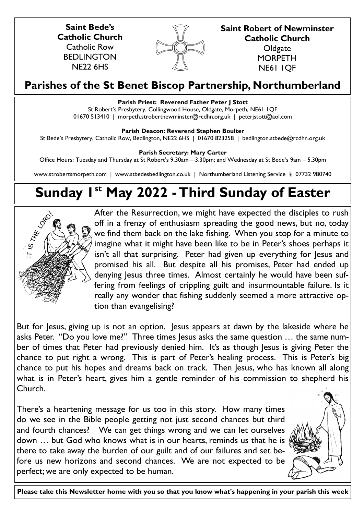**Saint Bede's Catholic Church** Catholic Row **BEDLINGTON** NE22 6HS



**Saint Robert of Newminster Catholic Church Oldgate MORPETH** 

NE61 1QF

## **Parishes of the St Benet Biscop Partnership, Northumberland**

## **Parish Priest: Reverend Father Peter J Stott**

St Robert's Presbytery, Collingwood House, Oldgate, Morpeth, NE61 1QF 01670 513410 | morpeth.strobertnewminster@rcdhn.org.uk | peterjstott@aol.com

## **Parish Deacon: Reverend Stephen Boulter**

St Bede's Presbytery, Catholic Row, Bedlington, NE22 6HS | 01670 823258 | bedlington.stbede@rcdhn.org.uk

**Parish Secretary: Mary Carter** 

Office Hours: Tuesday and Thursday at St Robert's 9.30am—3.30pm; and Wednesday at St Bede's 9am – 5.30pm

www.strobertsmorpeth.com | www.stbedesbedlington.co.uk | Northumberland Listening Service 07732 980740

# **Sunday 1st May 2022 -Third Sunday of Easter**



After the Resurrection, we might have expected the disciples to rush off in a frenzy of enthusiasm spreading the good news, but no, today we find them back on the lake fishing. When you stop for a minute to imagine what it might have been like to be in Peter's shoes perhaps it isn't all that surprising. Peter had given up everything for Jesus and promised his all. But despite all his promises, Peter had ended up denying Jesus three times. Almost certainly he would have been suffering from feelings of crippling guilt and insurmountable failure. Is it really any wonder that fishing suddenly seemed a more attractive option than evangelising?

But for Jesus, giving up is not an option. Jesus appears at dawn by the lakeside where he asks Peter. "Do you love me?" Three times lesus asks the same question ... the same number of times that Peter had previously denied him. It's as though Jesus is giving Peter the chance to put right a wrong. This is part of Peter's healing process. This is Peter's big chance to put his hopes and dreams back on track. Then Jesus, who has known all along what is in Peter's heart, gives him a gentle reminder of his commission to shepherd his Church.

There's a heartening message for us too in this story. How many times do we see in the Bible people getting not just second chances but third and fourth chances? We can get things wrong and we can let ourselves down … but God who knows what is in our hearts, reminds us that he is there to take away the burden of our guilt and of our failures and set before us new horizons and second chances. We are not expected to be perfect; we are only expected to be human.



**Please take this Newsletter home with you so that you know what's happening in your parish this week**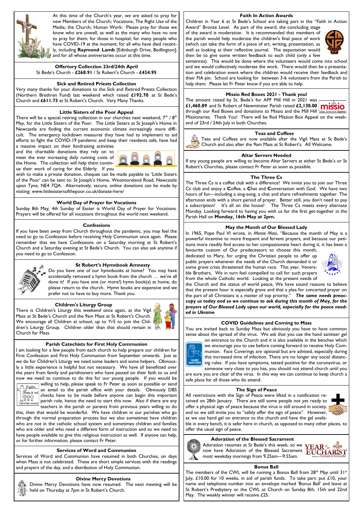

At this time of the Church's year, we are asked to pray for new Members of the Church; Vocations; The Right Use of the Media; the Church; Human Work: Please pray for those we know who are unwell, as well as the many who have no one to pray for them; for those in hospital; for many people who have COVID-19 at the moment; for all who have died recently, including **Raymond Lamb** [Edinburgh Drive, Bedlington]; and for all whose anniversaries occur at this time.

**Offertory Collection 23rd/24th April** St Bede's Church - **£268.91** / St Robert's Church - **£434.95**

## **Sick and Retired Priests Collection**

Very many thanks for your donations to the Sick and Retired Priests Collection (Northern Brethren Fund) last weekend which raised **£192.70** at St Bede's Church and **£611.73** at St Robert's Church. Very Many Thanks.

### **Little Sisters of the Poor Appeal**

There will be a special retiring collection in our churches next weekend,  $7<sup>th</sup>$  /  $8<sup>th</sup>$ May, for the Little Sisters of the Poor. The Little Sisters at St Joseph's Home in Newcastle are finding the current economic climate increasingly more difficult. The emergency lockdown measures they have had to implement to aid efforts to fight the COVID-19 pandemic and keep their residents safe, have had a massive impact on their fundraising activities

and the charitable donations they rely on to meet the ever increasing daily running costs of the Home. The collection will help them continue their work of caring for the Elderly. If you



wish to make a private donation, cheques can be made payable to 'Little Sisters of the Poor' can be sent to: St Joseph's Home, Westmoreland Road, Newcastle upon Tyne, NE4 7QA. Alternatively, secure, online donations can be made by visiting: www.littlesistersofthepoor.co.uk/donate-here/

## **World Day of Prayer for Vocations**

Sunday 8th May, 4th Sunday of Easter is World Day of Prayer for Vocations. Prayers will be offered for all vocations throughout the world next weekend.

#### **Confessions**

If you have been away from Church throughout the pandemic, you may feel the need to go to Confession before receiving Holy Communion once again. Please remember that we have Confessions on a Saturday morning at St Robert's Church and a Saturday evening at St Bede's Church. You can also ask anytime if you need to go to Confession.



### **St Robert's Hymnbook Amnesty**

Do you have one of our hymnbooks at home? You may have accidentally removed a hymn book from the church … we've all done it! If you have one (or more!) hymn book(s) at home, do please return to the church. Hymn books are expensive and we prefer not to have to buy more. Thank you.

#### **Children's Liturgy Group**

There is Children's Liturgy this weekend once again, at the Vigil Mass at St Bede's Church and the 9am Mass at St Robert's Church. We encourage all Children at school, up to Yr5 to join the Children's Liturgy Group. Children older than that should remain in Church for Mass.



I am looking for a few people from each church to help prepare our children for First Confession and First Holy Communion from September onwards. Just as we do for Children's Liturgy we need some leaders and some helpers. Obviously a little experience is helpful but not necessary. We have all benefitted over the years from family and parishioners who have passed on their faith to us and now we need to continue to do this for our young people. If you would be



willing to help, please speak to Fr Peter as soon as possible or send an email to the parish office with your details. Obviously DBS checks have to be made before anyone can begin this important parish role, hence the need to start this now. Also if there are any

teachers in the parish or parents from previous years willing to do this, then that would be wonderful. We have children in our parishes who go through the normal preparation process but we also sometimes have children who are not in the catholic school system and sometimes children and families who are older and who need a different form of instruction and so we need to have people available to give this religious instruction as well.If anyone can help, or for further information, please contact Fr Peter.

### **Services of Word and Communion**

Services of Word and Communion have resumed in both Churches, on days when Mass is not celebrated. These are short simple services with the readings and prayers of the day, and a distribution of Holy Communion.

#### **Divine Mercy Devotions**

Divine Mercy Devotions have now resumed. The next meeting will be held on Thursday at 7pm in St Robert's Church.

#### **Faith In Action Awards**

Children in Year 6 at St Bede's School are taking part in the "Faith in Action Award" Bronze Level. As part of the award, the concluding stage

of the award is moderation. It is recommended that members of the parish would help moderate the children's final piece of work (which can take the form of a piece of art, writing, presentation, as well as looking at their reflective journal. The expectation would then be to give some written feedback to each child (only a few



sentences). This would be done where the volunteers would come into school and we would collectively moderate the work. There would then be a presentation and celebration event where the children would receive their feedback and their FIA pin. School are looking for between 3-6 volunteers from the Parish to help them. Please let Fr Peter know if you are able to help.

## **Missio Red Boxes 2021 - Thank you!**

The amount raised by St. Bede's for APF Mill Hill in 2021 was **£1,460.89** and St Robert of Newminster Parish raised **£2,130.00**  through our Red Boxes and donations to Missio and the Mill Hill Missionaries. Thank You! There will be Red Mission Box Appeal on the weekend of 23rd / 24th July in both Churches.

#### **Teas and Coffees**

Teas and Coffees are now available after the Vigil Mass at St Bede's Church and also after the 9am Mass at St Robert's. All Welcome.

#### **Altar Servers Needed**

If any young people are willing to become Altar Servers at either St Bede's or St Robert's Churches, please contact Fr Peter as soon as possible.

#### **The Three Cs**

The Three Cs is a coffee club with a difference! We invite you to join our Three Cs club and enjoy a **C**offee, a **C**hat and **C**onversation with God. We have two hours of fun—including a sing-song, a chat and share refreshments together. The afternoon ends with a short period of prayer. Better still, you don't need to pay a subscription! It's all on the house! The Three Cs meets every alternate Monday. Looking forward to having you with us for the first get-together in the Parish Hall on **Monday, 16th May at 2pm.**

#### **May the Month of Our Blessed Lady**

In 1965, Pope Paul VI wrote, in *Mense Maoi*, "Because the month of May is a powerful incentive to more frequent and fervent prayers, and because our petitions more readily find access to her compassionate heart during it, it has been a favourite custom of Our predecessors to choose this month,

dedicated to Mary, for urging the Christian people to offer up public prayers whenever the needs of the Church demanded it or some grave crisis threatened the human race. This year, Venerable Brothers, We in turn feel compelled to call for such prayers from the whole Catholic world. Looking at the present needs of



the Church and the status of world peace, We have sound reasons to believe that the present hour is especially grave and that a plea for concerted prayer on the part of all Christians is a matter of top priority." *The same needs preoccupy us today and so we continue to ask during this month of May, for the prayers of Our Blessed Lady upon our world, especially for the peace needed in Ukraine*

#### **COVID Guidelines and Coming to Mass**

You are invited back to Sunday Mass but obviously you have to have common sense about the spread of the virus. We ask that you use the hand sanitiser gel



on entrance to the Church and it is also available in the benches which we encourage you to use before coming forward to receive Holy Communion. Face Coverings are optional but are advised, especially during this increased time of infection. There are no longer any social distancing rules. If you have symptoms, tested positive for the coronavirus, or someone very close to you has, you should not attend church until you

are sure you are clear of the virus. In this way we can continue to keep church a safe place for all those who do attend.

## **The Sign of Peace**

All restrictions with the Sign of Peace were lifted in a notification received on 28th January. There are still some people not yet ready to offer a physical sign of peace because the virus is still around in society, and so we still invite you to "safely offer the sign of peace". However, as we use hand gel on entrance to the church and have the gel availa-



ble in every bench, it is safer here in church, as opposed to many other places, to offer the usual sign of peace.

## **Adoration of the Blessed Sacrament**

Adoration resumes at St Bede's this week, so we now have Adoration of the Blessed Sacrament most weekday mornings from 9.25am—9.55am.



#### **Bonus Ball**

The members of the CWL will be running a Bonus Ball from  $28<sup>th</sup>$  May until  $31<sup>st</sup>$ July, £10.00 for 10 weeks, in aid of parish funds. To take part: put £10, your name and telephone number into an envelope marked 'Bonus Ball' and leave at St Robert's Presbytery or the CWL at Church on Sunday 8th, 15th and 22nd May. The weekly winner will receive £25.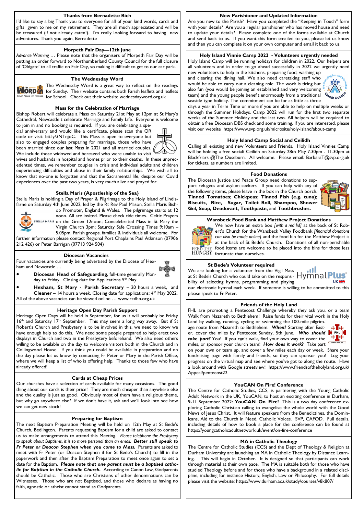#### **Thanks from Bernadette Rich**

I'd like to say a big Thank you to everyone for all of your kind words, cards and gifts given to me on my retirement. They are all much appreciated and will be be treasured (if not already eaten!). I'm really looking forward to having new adventures. Thank you again, Bernadette

## **Morpeth Fair Day—12th June**

*Advance Warning* … Please note that the organisers of Morpeth Fair Day will be putting an order forward to Northumberland County Council for the full closure of 'Oldgate' to all traffic on Fair Day, so making it difficult to get to our car park.

#### **The Wednesday Word**



The Wednesday Word is a great way to reflect on the readings for Sunday. Their website contains both Parish leaflets and leaflets for School. Check out their website wednesdayword.org.uk

#### **Mass for the Celebration of Marriage**

Bishop Robert will celebrate a Mass on Saturday 21st May at 12pm at St Mary's Cathedral, Newcastle t celebrate Marriage and Family Life. Everyone is welcome to join in and no booking is required. If you are celebrating a spe-

cial anniversary and would like a certificate, please scan the QR code or visit: bit.ly/3NTqjoC. This Mass is open to everyone but also to engaged couples preparing for marriage, those who have been married since our last Mass in 2021 and all married couples.



We include those widowed and bereaved who were unable to visit wives and husbands in hospital and homes prior to their deaths. In these unprecedented times, we remember couples in crisis and individual adults and children experiencing difficulties and abuse in their family relationships. We wish all to know that no-one is forgotten and that the Sacramental life, despite our Covid experiences over the past two years, is very much alive and prayed for.

#### **Stella Maris (Apostleship of the Sea)**

Stella Maris is holding a Day of Prayer & Pilgrimage to the Holy Island of Lindisfarne on Saturday 4th June 2022, led by the Rt Rev Paul Mason, Stella Maris Bish-



op Promoter, England & Wales. The pilgrimage starts at 12 noon. All are invited. Please check tide times. Celtic Prayers STELLA MARIS on the Green 12noon; Concelebrated Mass in St Mary the Virgin Church 3pm; Saturday Safe Crossing Times 9:10am – 5.05pm. Parish groups, families & individuals all welcome. For

further information please contact Regional Port Chaplains Paul Atkinson (07906 212 426) or Peter Barrigan (07713 924 504)

#### **Diocesan Vacancies**

Four vacancies are currently being advertised by the Diocese of Hexham and Newcastle …



• **Diocesan Head of Safeguarding**, full-time generally Monday to Friday. Closing date for Applications 5<sup>th</sup> May.

• **Hexham, St Mary - Parish Secretary** – 20 hours a week, and **Cleaner** – 14 hours a week. Closing date for applications: 4<sup>th</sup> May 2022. All of the above vacancies can be viewed online … www.rcdhn.org.uk

## **Heritage Open Day Parish Support**

Heritage Open Days will be held in September, for us it will probably be Friday  $16<sup>th</sup>$  and Saturday  $17<sup>th</sup>$  September. This may seem a long way away. But if St Robert's Church and Presbytery is to be involved in this, we need to know we have enough help to do this. We need some people prepared to help erect two displays in Church and two in the Presbytery beforehand. We also need others willing to be available on the day to welcome visitors both in the Church and in Collingwood House. If you think you could be available in preparation and on the day please let us know by contacting Fr Peter or Mary in the Parish Office, where we will keep a list of who is offering help. Thanks to those few who have already offered!

#### **Cards at Cheap Prices**

Our churches have a selection of cards available for many occasions. The good thing about our cards is their price! They are much cheaper than anywhere else and the quality is just as good. Obviously most of them have a religious theme, but why go anywhere else? If we don't have it, ask and we'll look into see how we can get new stock!

#### **Preparing for Baptism**

The next Baptism Preparation Meeting will be held on 12th May at St Bede's Church, Bedlington. Parents requesting Baptism for a child are asked to contact us to make arrangements to attend this Meeting. *Please telephone the Presbytery to speak about Baptisms, it is so more personal than an email. Better still speak to*  Fr Peter or Deacon Stephen when you come to Mass. Parents are asked to meet with Fr Peter (or Deacon Stephen if for St Bede's Church) to fill in the paperwork and then after the Baptism Preparation to meet once again to set a date for the Baptism. *Please note that one parent must be a baptised catholic for Baptism in the Catholic Church.* According to Canon Law, Godparents should be Catholic. Those who are Christians of other denominations can be Witnesses. Those who are not Baptised, and those who declare as having no faith, agnostic or atheist cannot stand as Godparents.

#### **New Parishioner and Updated Information**

Are you new to the Parish? Have you completed the "Keeping in Touch" form with your details? Are you a regular parishioner who has moved house and need to update your details? Please complete one of the forms available at Church and send back to us. If you want this form emailed to you, please let us know and then you can complete it on your own computer and email it back to us.

## **Holy Island Vinnie Camp 2022 - Volunteers urgently needed**

Holy Island Camp will be running holidays for children in 2022. Our helpers are all volunteers and in order to go ahead successfully in 2022 we urgently need new volunteers to help in the kitchens, preparing food, washing up

and clearing the dining hall. We also need caretaking staff who would be able to carry out a cleaning role. The work is tiring but also fun (you would be joining an established and very welcoming team) and the young people benefit enormously from a traditional seaside type holiday. The commitment can be for as little as three



days a year in Term Time or more if you are able to help on multiple weeks or through the Summer Holidays. Camp 2022 will run for the first two separate weeks of the Summer Holiday and the last two. All helpers will be required to obtain a free Diocesan DBS check and some training. If you are interested, please visit our website https://www.svp.org.uk/microsite/holy-island/about-camp

#### **Holy Island Camp Social and Ceilidh**

Calling all existing and new Volunteers and Friends. Holy Island Vinnies Camp will be holding a free social/ Ceilidh on Saturday 28th May 7.30pm - 11.30pm at Blackfriars @The Ouseburn. All welcome. Please email: BarbaraT@svp.org.uk for tickets, as numbers are limited.

#### **Food Donations**

The Diocesan Justice and Peace Group need donations to support refugees and asylum seekers. If you can help with any of the following items, please leave in the box in the Church porch. **Tinned Tomatoes; Chickpeas; Tinned Fish (e.g. tuna); Biscuits, Rice, Sugar, Toilet Roll, Shampoo, Shower Gel, Soap, Deodorant, Toothpaste,** and **Toothbrushes.** 



## **Wansbeck Food Bank and Matthew Project Donations**



We now have an extra box *[with a red lid]* at the back of St Robert's Church for the Wansbeck Valley Foodbank *[financial donations can also be made online]* and the food bin for the Matthew Project is at the back of St Bede's Church. Donations of all non-perishable  $E$  food items are welcome to be placed into the bins for those less fortunate than ourselves.

### **St Bede's Volunteer required**

 $\mathbf{d}$ We are looking for a volunteer from the Vigil Mass Plus at St Bede's Church who could take on the responsibility of selecting hymns, programming and playing **UK SHE** our electronic hymnal each week. If someone is willing to be committed to this please speak to Fr Peter.

#### **Friends of the Holy Land**

FHL are promoting a Pentecost Challenge whereby they ask you, or a team Walk from Nazareth to Bethlehem! Raise funds for their vital work in the Holy

Land by walking, running, cycling or swimming the 100-mile pilgrim-<br>age route from Nazareth to Bethlehem. When? Starting after Eastage route from Nazareth to Bethlehem. *When?* Starting after Easter, cover the miles by Pentecost Sunday, 5th June. *Who should take part?* You! If you can't walk, find your own way to cover the miles, or sponsor your church team! *How does it work?* Take part



on your own or team up, and cover a few miles each day or week. Share your fundraising page with family and friends, so they can sponsor you! Log your progress on the virtual map and see where you've got to along the route. Have a look around with Google streetview! https://www.friendsoftheholyland.org.uk/ Appeal/pentecost22

#### **YouCAN On Fire! Conference**

The Centre for Catholic Studies, CCS, is partnering with the Young Catholic Adult Network in the UK, YouCAN, to host an exciting conference in Durham, 9-11 September 2022: **YouCAN On Fire!** This is a two day conference exploring Catholic Christian calling to evangelise the whole world with the Good News of Jesus Christ. It will feature speakers from the Benedictines, the Dominicans, Aid to the Church in Need, Catholic Voices, SVP, CAFOD. Full details, including details of how to book a place for the conference can be found at https://youngcatholicadultnetwork.uk/event/on-fire-conference

#### **MA in Catholic Theology**

The Centre for Catholic Studies (CCS) and the Dept of Theology & Religion at Durham University are launching an MA in Catholic Theology by Distance Learning. This will begin in October. It is designed so that participants can work through material at their own pace. The MA is suitable both for those who have studied Theology before and for those who have a background in a related discipline, including for instance History, English, Law or Philosophy. For full details please visit the website: https://www.durham.ac.uk/study/courses/v8k807/